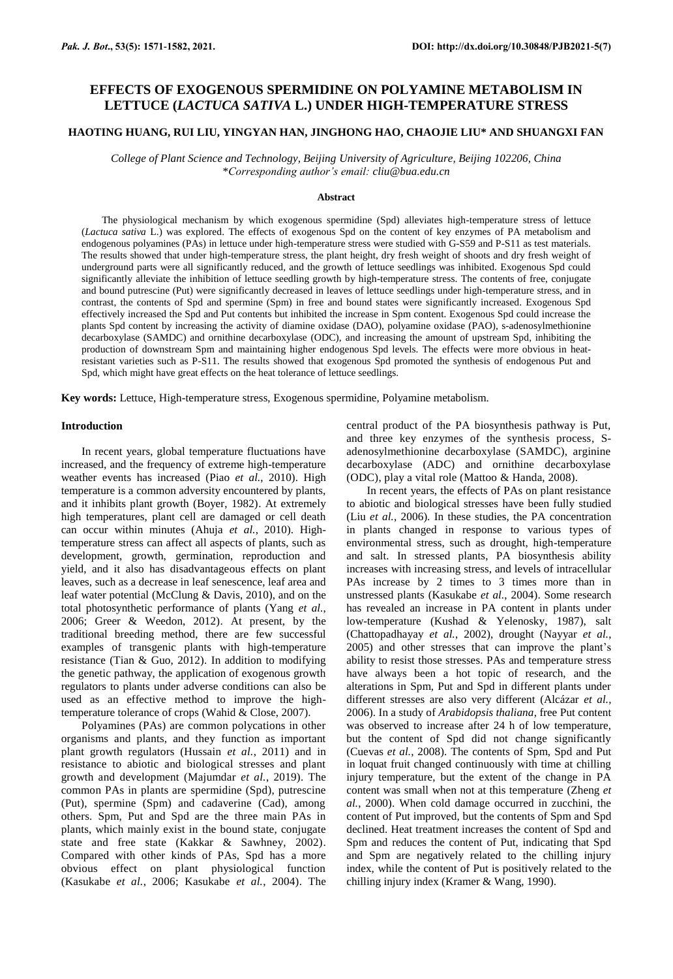# **EFFECTS OF EXOGENOUS SPERMIDINE ON POLYAMINE METABOLISM IN LETTUCE (***LACTUCA SATIVA* **L.) UNDER HIGH-TEMPERATURE STRESS**

# **HAOTING HUANG, RUI LIU, YINGYAN HAN, JINGHONG HAO, CHAOJIE LIU\* AND SHUANGXI FAN**

*College of Plant Science and Technology, Beijing University of Agriculture, Beijing 102206, China* \**Corresponding author's email: cliu@bua.edu.cn*

#### **Abstract**

The physiological mechanism by which exogenous spermidine (Spd) alleviates high-temperature stress of lettuce (*Lactuca sativa* L.) was explored. The effects of exogenous Spd on the content of key enzymes of PA metabolism and endogenous polyamines (PAs) in lettuce under high-temperature stress were studied with G-S59 and P-S11 as test materials. The results showed that under high-temperature stress, the plant height, dry fresh weight of shoots and dry fresh weight of underground parts were all significantly reduced, and the growth of lettuce seedlings was inhibited. Exogenous Spd could significantly alleviate the inhibition of lettuce seedling growth by high-temperature stress. The contents of free, conjugate and bound putrescine (Put) were significantly decreased in leaves of lettuce seedlings under high-temperature stress, and in contrast, the contents of Spd and spermine (Spm) in free and bound states were significantly increased. Exogenous Spd effectively increased the Spd and Put contents but inhibited the increase in Spm content. Exogenous Spd could increase the plants Spd content by increasing the activity of diamine oxidase (DAO), polyamine oxidase (PAO), s-adenosylmethionine decarboxylase (SAMDC) and ornithine decarboxylase (ODC), and increasing the amount of upstream Spd, inhibiting the production of downstream Spm and maintaining higher endogenous Spd levels. The effects were more obvious in heatresistant varieties such as P-S11. The results showed that exogenous Spd promoted the synthesis of endogenous Put and Spd, which might have great effects on the heat tolerance of lettuce seedlings.

**Key words:** Lettuce, High-temperature stress, Exogenous spermidine, Polyamine metabolism.

#### **Introduction**

In recent years, global temperature fluctuations have increased, and the frequency of extreme high-temperature weather events has increased (Piao *et al.*, 2010). High temperature is a common adversity encountered by plants, and it inhibits plant growth (Boyer, 1982). At extremely high temperatures, plant cell are damaged or cell death can occur within minutes (Ahuja *et al.*, 2010). Hightemperature stress can affect all aspects of plants, such as development, growth, germination, reproduction and yield, and it also has disadvantageous effects on plant leaves, such as a decrease in leaf senescence, leaf area and leaf water potential (McClung & Davis, 2010), and on the total photosynthetic performance of plants (Yang *et al.*, 2006; Greer & Weedon, 2012). At present, by the traditional breeding method, there are few successful examples of transgenic plants with high-temperature resistance (Tian & Guo, 2012). In addition to modifying the genetic pathway, the application of exogenous growth regulators to plants under adverse conditions can also be used as an effective method to improve the hightemperature tolerance of crops (Wahid & Close, 2007).

Polyamines (PAs) are common polycations in other organisms and plants, and they function as important plant growth regulators (Hussain *et al.*, 2011) and in resistance to abiotic and biological stresses and plant growth and development (Majumdar *et al.*, 2019). The common PAs in plants are spermidine (Spd), putrescine (Put), spermine (Spm) and cadaverine (Cad), among others. Spm, Put and Spd are the three main PAs in plants, which mainly exist in the bound state, conjugate state and free state (Kakkar & Sawhney, 2002). Compared with other kinds of PAs, Spd has a more obvious effect on plant physiological function (Kasukabe *et al.*, 2006; Kasukabe *et al.*, 2004). The central product of the PA biosynthesis pathway is Put, and three key enzymes of the synthesis process, Sadenosylmethionine decarboxylase (SAMDC), arginine decarboxylase (ADC) and ornithine decarboxylase (ODC), play a vital role (Mattoo & Handa, 2008).

In recent years, the effects of PAs on plant resistance to abiotic and biological stresses have been fully studied (Liu *et al.*, 2006). In these studies, the PA concentration in plants changed in response to various types of environmental stress, such as drought, high-temperature and salt. In stressed plants, PA biosynthesis ability increases with increasing stress, and levels of intracellular PAs increase by 2 times to 3 times more than in unstressed plants (Kasukabe *et al.*, 2004). Some research has revealed an increase in PA content in plants under low-temperature (Kushad & Yelenosky, 1987), salt (Chattopadhayay *et al.*, 2002), drought (Nayyar *et al.*, 2005) and other stresses that can improve the plant's ability to resist those stresses. PAs and temperature stress have always been a hot topic of research, and the alterations in Spm, Put and Spd in different plants under different stresses are also very different (Alcázar *et al.*, 2006). In a study of *Arabidopsis thaliana*, free Put content was observed to increase after 24 h of low temperature, but the content of Spd did not change significantly (Cuevas *et al.*, 2008). The contents of Spm, Spd and Put in loquat fruit changed continuously with time at chilling injury temperature, but the extent of the change in PA content was small when not at this temperature (Zheng *et al.*, 2000). When cold damage occurred in zucchini, the content of Put improved, but the contents of Spm and Spd declined. Heat treatment increases the content of Spd and Spm and reduces the content of Put, indicating that Spd and Spm are negatively related to the chilling injury index, while the content of Put is positively related to the chilling injury index (Kramer & Wang, 1990).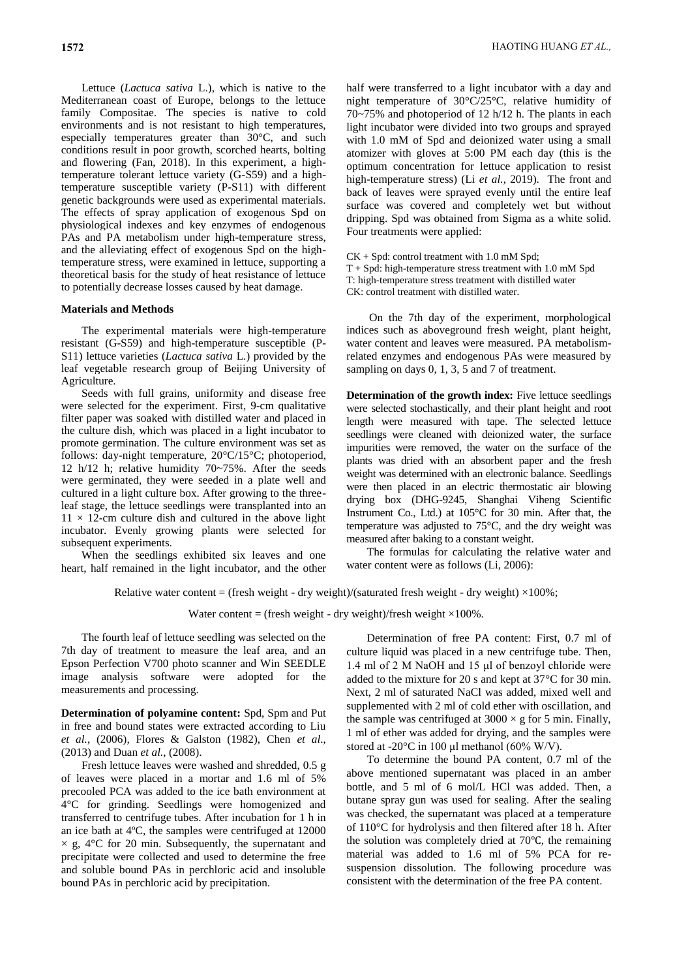Lettuce (*Lactuca sativa* L.), which is native to the Mediterranean coast of Europe, belongs to the lettuce family Compositae. The species is native to cold environments and is not resistant to high temperatures, especially temperatures greater than 30°C, and such conditions result in poor growth, scorched hearts, bolting and flowering (Fan, 2018). In this experiment, a hightemperature tolerant lettuce variety (G-S59) and a hightemperature susceptible variety (P-S11) with different genetic backgrounds were used as experimental materials. The effects of spray application of exogenous Spd on physiological indexes and key enzymes of endogenous PAs and PA metabolism under high-temperature stress, and the alleviating effect of exogenous Spd on the hightemperature stress, were examined in lettuce, supporting a theoretical basis for the study of heat resistance of lettuce to potentially decrease losses caused by heat damage.

### **Materials and Methods**

The experimental materials were high-temperature resistant (G-S59) and high-temperature susceptible (P-S11) lettuce varieties (*Lactuca sativa* L.) provided by the leaf vegetable research group of Beijing University of Agriculture.

Seeds with full grains, uniformity and disease free were selected for the experiment. First, 9-cm qualitative filter paper was soaked with distilled water and placed in the culture dish, which was placed in a light incubator to promote germination. The culture environment was set as follows: day-night temperature, 20°C/15°C; photoperiod, 12 h/12 h; relative humidity 70~75%. After the seeds were germinated, they were seeded in a plate well and cultured in a light culture box. After growing to the threeleaf stage, the lettuce seedlings were transplanted into an  $11 \times 12$ -cm culture dish and cultured in the above light incubator. Evenly growing plants were selected for subsequent experiments.

When the seedlings exhibited six leaves and one heart, half remained in the light incubator, and the other half were transferred to a light incubator with a day and night temperature of 30°C/25°C, relative humidity of 70~75% and photoperiod of 12 h/12 h. The plants in each light incubator were divided into two groups and sprayed with 1.0 mM of Spd and deionized water using a small atomizer with gloves at 5:00 PM each day (this is the optimum concentration for lettuce application to resist high-temperature stress) (Li *et al.*, 2019). The front and back of leaves were sprayed evenly until the entire leaf surface was covered and completely wet but without dripping. Spd was obtained from Sigma as a white solid. Four treatments were applied:

CK + Spd: control treatment with 1.0 mM Spd; T + Spd: high-temperature stress treatment with 1.0 mM Spd T: high-temperature stress treatment with distilled water CK: control treatment with distilled water.

On the 7th day of the experiment, morphological indices such as aboveground fresh weight, plant height, water content and leaves were measured. PA metabolismrelated enzymes and endogenous PAs were measured by sampling on days 0, 1, 3, 5 and 7 of treatment.

**Determination of the growth index:** Five lettuce seedlings were selected stochastically, and their plant height and root length were measured with tape. The selected lettuce seedlings were cleaned with deionized water, the surface impurities were removed, the water on the surface of the plants was dried with an absorbent paper and the fresh weight was determined with an electronic balance. Seedlings were then placed in an electric thermostatic air blowing drying box (DHG-9245, Shanghai Viheng Scientific Instrument Co., Ltd.) at 105°C for 30 min. After that, the temperature was adjusted to 75°C, and the dry weight was measured after baking to a constant weight.

The formulas for calculating the relative water and water content were as follows (Li, 2006):

Relative water content = (fresh weight - dry weight)/(saturated fresh weight - dry weight) ×100%;

Water content = (fresh weight - dry weight)/fresh weight  $\times 100\%$ .

The fourth leaf of lettuce seedling was selected on the 7th day of treatment to measure the leaf area, and an Epson Perfection V700 photo scanner and Win SEEDLE image analysis software were adopted for the measurements and processing.

**Determination of polyamine content:** Spd, Spm and Put in free and bound states were extracted according to Liu *et al.*, (2006)*,* Flores & Galston (1982), Chen *et al*., (2013) and Duan *et al.*, (2008).

Fresh lettuce leaves were washed and shredded, 0.5 g of leaves were placed in a mortar and 1.6 ml of 5% precooled PCA was added to the ice bath environment at 4°C for grinding. Seedlings were homogenized and transferred to centrifuge tubes. After incubation for 1 h in an ice bath at 4ºC, the samples were centrifuged at 12000  $\times$  g, 4 $\rm{°C}$  for 20 min. Subsequently, the supernatant and precipitate were collected and used to determine the free and soluble bound PAs in perchloric acid and insoluble bound PAs in perchloric acid by precipitation.

Determination of free PA content: First, 0.7 ml of culture liquid was placed in a new centrifuge tube. Then, 1.4 ml of 2 M NaOH and 15 μl of benzoyl chloride were added to the mixture for 20 s and kept at 37°C for 30 min. Next, 2 ml of saturated NaCl was added, mixed well and supplemented with 2 ml of cold ether with oscillation, and the sample was centrifuged at  $3000 \times g$  for 5 min. Finally, 1 ml of ether was added for drying, and the samples were stored at -20 $\degree$ C in 100 μl methanol (60% W/V).

To determine the bound PA content, 0.7 ml of the above mentioned supernatant was placed in an amber bottle, and 5 ml of 6 mol/L HCl was added. Then, a butane spray gun was used for sealing. After the sealing was checked, the supernatant was placed at a temperature of 110°C for hydrolysis and then filtered after 18 h. After the solution was completely dried at 70℃, the remaining material was added to 1.6 ml of 5% PCA for resuspension dissolution. The following procedure was consistent with the determination of the free PA content.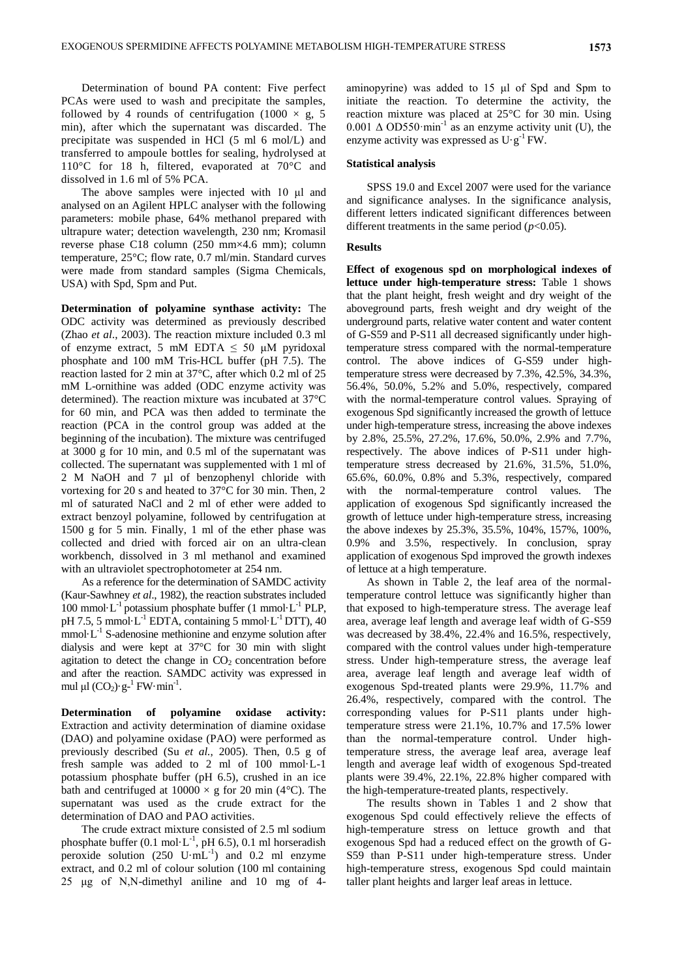Determination of bound PA content: Five perfect PCAs were used to wash and precipitate the samples, followed by 4 rounds of centrifugation (1000  $\times$  g, 5 min), after which the supernatant was discarded. The precipitate was suspended in HCl (5 ml 6 mol/L) and transferred to ampoule bottles for sealing, hydrolysed at 110°C for 18 h, filtered, evaporated at 70°C and dissolved in 1.6 ml of 5% PCA.

The above samples were injected with 10 μl and analysed on an Agilent HPLC analyser with the following parameters: mobile phase, 64% methanol prepared with ultrapure water; detection wavelength, 230 nm; Kromasil reverse phase C18 column (250 mm×4.6 mm); column temperature, 25°C; flow rate, 0.7 ml/min. Standard curves were made from standard samples (Sigma Chemicals, USA) with Spd, Spm and Put.

**Determination of polyamine synthase activity:** The ODC activity was determined as previously described (Zhao *et al*., 2003). The reaction mixture included 0.3 ml of enzyme extract, 5 mM EDTA  $\leq$  50 µM pyridoxal phosphate and 100 mM Tris-HCL buffer (pH 7.5). The reaction lasted for 2 min at 37°C, after which 0.2 ml of 25 mM L-ornithine was added (ODC enzyme activity was determined). The reaction mixture was incubated at 37°C for 60 min, and PCA was then added to terminate the reaction (PCA in the control group was added at the beginning of the incubation). The mixture was centrifuged at 3000 g for 10 min, and 0.5 ml of the supernatant was collected. The supernatant was supplemented with 1 ml of 2 M NaOH and 7 µl of benzophenyl chloride with vortexing for 20 s and heated to 37°C for 30 min. Then, 2 ml of saturated NaCl and 2 ml of ether were added to extract benzoyl polyamine, followed by centrifugation at 1500 g for 5 min. Finally, 1 ml of the ether phase was collected and dried with forced air on an ultra-clean workbench, dissolved in 3 ml methanol and examined with an ultraviolet spectrophotometer at 254 nm.

As a reference for the determination of SAMDC activity (Kaur-Sawhney *et al*., 1982), the reaction substrates included 100 mmol· $L^{-1}$  potassium phosphate buffer (1 mmol· $L^{-1}$  PLP, pH 7.5, 5 mmol·L<sup>-1</sup> EDTA, containing 5 mmol·L<sup>-1</sup> DTT), 40  $\text{mmol·L}^{-1}$  S-adenosine methionine and enzyme solution after dialysis and were kept at 37°C for 30 min with slight agitation to detect the change in  $CO<sub>2</sub>$  concentration before and after the reaction. SAMDC activity was expressed in mul  $\mu$ l (CO<sub>2</sub>)·g<sup>-1</sup> FW·min<sup>-1</sup>.

**Determination of polyamine oxidase activity:**  Extraction and activity determination of diamine oxidase (DAO) and polyamine oxidase (PAO) were performed as previously described (Su *et al.*, 2005). Then, 0.5 g of fresh sample was added to 2 ml of 100 mmol·L-1 potassium phosphate buffer (pH 6.5), crushed in an ice bath and centrifuged at  $10000 \times g$  for 20 min (4°C). The supernatant was used as the crude extract for the determination of DAO and PAO activities.

The crude extract mixture consisted of 2.5 ml sodium phosphate buffer  $(0.1 \text{ mol} \cdot \text{L}^{-1}$ , pH 6.5), 0.1 ml horseradish peroxide solution  $(250 \text{ U} \cdot \text{mL}^{-1})$  and 0.2 ml enzyme extract, and 0.2 ml of colour solution (100 ml containing 25 μg of N,N-dimethyl aniline and 10 mg of 4aminopyrine) was added to 15 μl of Spd and Spm to initiate the reaction. To determine the activity, the reaction mixture was placed at 25°C for 30 min. Using 0.001  $\triangle$  OD550·min<sup>-1</sup> as an enzyme activity unit (U), the enzyme activity was expressed as  $U \cdot g^{-1}$  FW.

### **Statistical analysis**

SPSS 19.0 and Excel 2007 were used for the variance and significance analyses. In the significance analysis, different letters indicated significant differences between different treatments in the same period  $(p<0.05)$ .

### **Results**

**Effect of exogenous spd on morphological indexes of lettuce under high-temperature stress:** Table 1 shows that the plant height, fresh weight and dry weight of the aboveground parts, fresh weight and dry weight of the underground parts, relative water content and water content of G-S59 and P-S11 all decreased significantly under hightemperature stress compared with the normal-temperature control. The above indices of G-S59 under hightemperature stress were decreased by 7.3%, 42.5%, 34.3%, 56.4%, 50.0%, 5.2% and 5.0%, respectively, compared with the normal-temperature control values. Spraying of exogenous Spd significantly increased the growth of lettuce under high-temperature stress, increasing the above indexes by 2.8%, 25.5%, 27.2%, 17.6%, 50.0%, 2.9% and 7.7%, respectively. The above indices of P-S11 under hightemperature stress decreased by 21.6%, 31.5%, 51.0%, 65.6%, 60.0%, 0.8% and 5.3%, respectively, compared with the normal-temperature control values. The application of exogenous Spd significantly increased the growth of lettuce under high-temperature stress, increasing the above indexes by 25.3%, 35.5%, 104%, 157%, 100%, 0.9% and 3.5%, respectively. In conclusion, spray application of exogenous Spd improved the growth indexes of lettuce at a high temperature.

As shown in Table 2, the leaf area of the normaltemperature control lettuce was significantly higher than that exposed to high-temperature stress. The average leaf area, average leaf length and average leaf width of G-S59 was decreased by 38.4%, 22.4% and 16.5%, respectively, compared with the control values under high-temperature stress. Under high-temperature stress, the average leaf area, average leaf length and average leaf width of exogenous Spd-treated plants were 29.9%, 11.7% and 26.4%, respectively, compared with the control. The corresponding values for P-S11 plants under hightemperature stress were 21.1%, 10.7% and 17.5% lower than the normal-temperature control. Under hightemperature stress, the average leaf area, average leaf length and average leaf width of exogenous Spd-treated plants were 39.4%, 22.1%, 22.8% higher compared with the high-temperature-treated plants, respectively.

The results shown in Tables 1 and 2 show that exogenous Spd could effectively relieve the effects of high-temperature stress on lettuce growth and that exogenous Spd had a reduced effect on the growth of G-S59 than P-S11 under high-temperature stress. Under high-temperature stress, exogenous Spd could maintain taller plant heights and larger leaf areas in lettuce.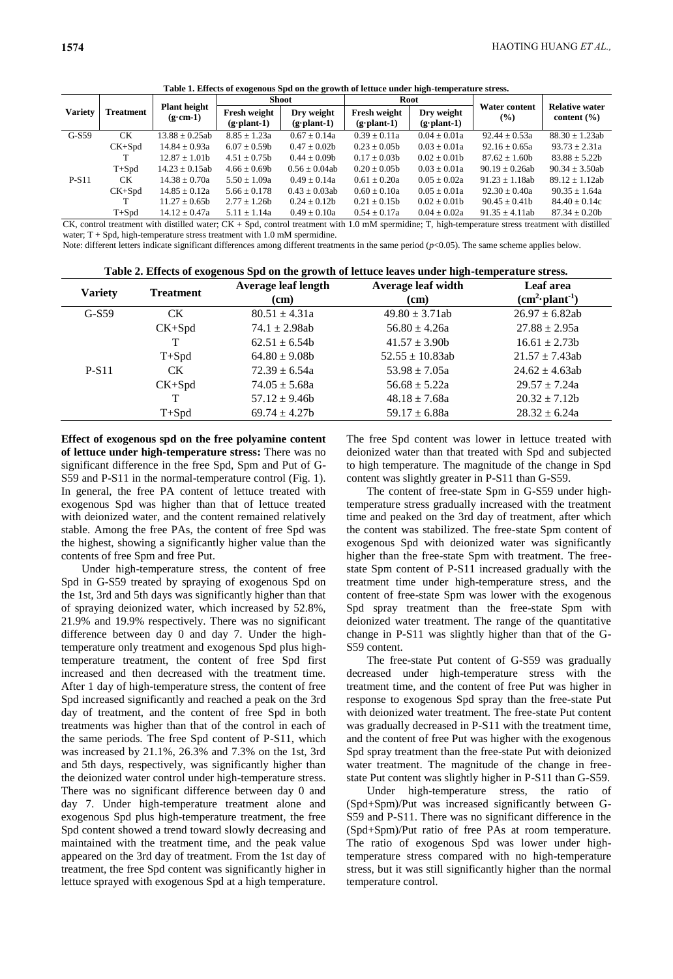|                  | <b>Plant height</b><br>$(g\text{-}cm-1)$ | <b>Shoot</b>                         |                                    | Root                                        |                                    |                     |                                          |
|------------------|------------------------------------------|--------------------------------------|------------------------------------|---------------------------------------------|------------------------------------|---------------------|------------------------------------------|
| <b>Treatment</b> |                                          | Fresh weight<br>$(g\text{-}plant-1)$ | Dry weight<br>$(g\text{-}plant-1)$ | <b>Fresh weight</b><br>$(g\text{-}plant-1)$ | Dry weight<br>$(g\text{-}plant-1)$ | (%)                 | <b>Relative water</b><br>content $(\% )$ |
| CK.              | $13.88 \pm 0.25$ ab                      | $8.85 \pm 1.23a$                     | $0.67 + 0.14a$                     | $0.39 \pm 0.11a$                            | $0.04 + 0.01a$                     | $92.44 \pm 0.53a$   | $88.30 \pm 1.23ab$                       |
| $CK+Spd$         | $14.84 \pm 0.93a$                        | $6.07 \pm 0.59$                      | $0.47 \pm 0.02b$                   | $0.23 \pm 0.05b$                            | $0.03 \pm 0.01a$                   | $92.16 \pm 0.65a$   | $93.73 \pm 2.31a$                        |
| т                | $12.87 \pm 1.01b$                        | $4.51 + 0.75h$                       | $0.44 + 0.09b$                     | $0.17 \pm 0.03b$                            | $0.02 + 0.01$                      | $87.62 + 1.60h$     | $83.88 \pm 5.22b$                        |
| $T+Spd$          | $14.23 \pm 0.15$ ab                      | $4.66 \pm 0.69$                      | $0.56 + 0.04ab$                    | $0.20 + 0.05$                               | $0.03 + 0.01a$                     | $90.19 \pm 0.26ab$  | $90.34 \pm 3.50$ ab                      |
| CK.              | $14.38 \pm 0.70a$                        | $5.50 + 1.09a$                       | $0.49 + 0.14a$                     | $0.61 \pm 0.20a$                            | $0.05 \pm 0.02a$                   | $91.23 \pm 1.18$ ab | $89.12 \pm 1.12ab$                       |
| $CK+Spd$         | $14.85 \pm 0.12a$                        | $5.66 + 0.178$                       | $0.43 + 0.03$ ab                   | $0.60 + 0.10a$                              | $0.05 + 0.01a$                     | $92.30 + 0.40a$     | $90.35 + 1.64a$                          |
| т                | $11.27 \pm 0.65$ b                       | $2.77 + 1.26$ h                      | $0.24 + 0.12h$                     | $0.21 \pm 0.15b$                            | $0.02 + 0.01$                      | $90.45 \pm 0.41b$   | $84.40 \pm 0.14c$                        |
| $T+Spd$          | $14.12 \pm 0.47a$                        | $5.11 \pm 1.14a$                     | $0.49 \pm 0.10a$                   | $0.54 \pm 0.17a$                            | $0.04 \pm 0.02a$                   | $91.35 \pm 4.11ab$  | $87.34 \pm 0.20b$                        |
|                  |                                          |                                      |                                    |                                             |                                    |                     | Water content                            |

**Table 1. Effects of exogenous Spd on the growth of lettuce under high-temperature stress.**

CK, control treatment with distilled water; CK + Spd, control treatment with 1.0 mM spermidine; T, high-temperature stress treatment with distilled water;  $T + Spd$ , high-temperature stress treatment with 1.0 mM spermidine. Note: different letters indicate significant differences among different treatments in the same period ( $p<0.05$ ). The same scheme applies below.

**Table 2. Effects of exogenous Spd on the growth of lettuce leaves under high-temperature stress.**

| <b>Variety</b> | <b>Treatment</b> | <b>Average leaf length</b><br>(cm) | <b>Average leaf width</b><br>(cm) | Leaf area<br>$(cm2$ plant <sup>-1</sup> ) |
|----------------|------------------|------------------------------------|-----------------------------------|-------------------------------------------|
| $G-S59$        | CK.              | $80.51 \pm 4.31a$                  | $49.80 \pm 3.71ab$                | $26.97 \pm 6.82$ ab                       |
|                | $CK+Spd$         | $74.1 \pm 2.98ab$                  | $56.80 \pm 4.26a$                 | $27.88 \pm 2.95a$                         |
|                |                  | $62.51 \pm 6.54b$                  | $41.57 \pm 3.90b$                 | $16.61 \pm 2.73b$                         |
|                | $T+Spd$          | $64.80 \pm 9.08b$                  | $52.55 \pm 10.83ab$               | $21.57 \pm 7.43ab$                        |
| $P-S11$        | <b>CK</b>        | $72.39 \pm 6.54a$                  | $53.98 \pm 7.05a$                 | $24.62 \pm 4.63$ ab                       |
|                | $CK+Spd$         | $74.05 \pm 5.68a$                  | $56.68 \pm 5.22a$                 | $29.57 \pm 7.24a$                         |
|                | T                | $57.12 \pm 9.46$                   | $48.18 \pm 7.68a$                 | $20.32 \pm 7.12b$                         |
|                | $T+Spd$          | $69.74 \pm 4.27b$                  | $59.17 \pm 6.88a$                 | $28.32 \pm 6.24a$                         |

**Effect of exogenous spd on the free polyamine content of lettuce under high-temperature stress:** There was no significant difference in the free Spd, Spm and Put of G-S59 and P-S11 in the normal-temperature control (Fig. 1). In general, the free PA content of lettuce treated with exogenous Spd was higher than that of lettuce treated with deionized water, and the content remained relatively stable. Among the free PAs, the content of free Spd was the highest, showing a significantly higher value than the contents of free Spm and free Put.

Under high-temperature stress, the content of free Spd in G-S59 treated by spraying of exogenous Spd on the 1st, 3rd and 5th days was significantly higher than that of spraying deionized water, which increased by 52.8%, 21.9% and 19.9% respectively. There was no significant difference between day 0 and day 7. Under the hightemperature only treatment and exogenous Spd plus hightemperature treatment, the content of free Spd first increased and then decreased with the treatment time. After 1 day of high-temperature stress, the content of free Spd increased significantly and reached a peak on the 3rd day of treatment, and the content of free Spd in both treatments was higher than that of the control in each of the same periods. The free Spd content of P-S11, which was increased by 21.1%, 26.3% and 7.3% on the 1st, 3rd and 5th days, respectively, was significantly higher than the deionized water control under high-temperature stress. There was no significant difference between day 0 and day 7. Under high-temperature treatment alone and exogenous Spd plus high-temperature treatment, the free Spd content showed a trend toward slowly decreasing and maintained with the treatment time, and the peak value appeared on the 3rd day of treatment. From the 1st day of treatment, the free Spd content was significantly higher in lettuce sprayed with exogenous Spd at a high temperature.

The free Spd content was lower in lettuce treated with deionized water than that treated with Spd and subjected to high temperature. The magnitude of the change in Spd content was slightly greater in P-S11 than G-S59.

The content of free-state Spm in G-S59 under hightemperature stress gradually increased with the treatment time and peaked on the 3rd day of treatment, after which the content was stabilized. The free-state Spm content of exogenous Spd with deionized water was significantly higher than the free-state Spm with treatment. The freestate Spm content of P-S11 increased gradually with the treatment time under high-temperature stress, and the content of free-state Spm was lower with the exogenous Spd spray treatment than the free-state Spm with deionized water treatment. The range of the quantitative change in P-S11 was slightly higher than that of the G-S59 content.

The free-state Put content of G-S59 was gradually decreased under high-temperature stress with the treatment time, and the content of free Put was higher in response to exogenous Spd spray than the free-state Put with deionized water treatment. The free-state Put content was gradually decreased in P-S11 with the treatment time, and the content of free Put was higher with the exogenous Spd spray treatment than the free-state Put with deionized water treatment. The magnitude of the change in freestate Put content was slightly higher in P-S11 than G-S59.

Under high-temperature stress, the ratio of (Spd+Spm)/Put was increased significantly between G-S59 and P-S11. There was no significant difference in the (Spd+Spm)/Put ratio of free PAs at room temperature. The ratio of exogenous Spd was lower under hightemperature stress compared with no high-temperature stress, but it was still significantly higher than the normal temperature control.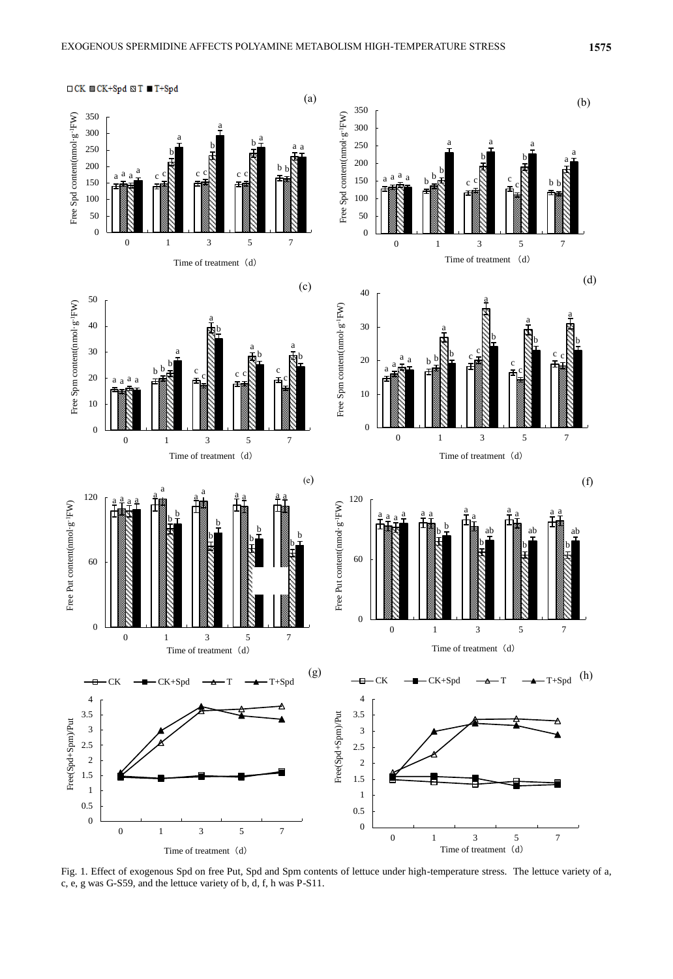

Fig. 1. Effect of exogenous Spd on free Put, Spd and Spm contents of lettuce under high-temperature stress. The lettuce variety of a, c, e, g was G-S59, and the lettuce variety of b, d, f, h was P-S11.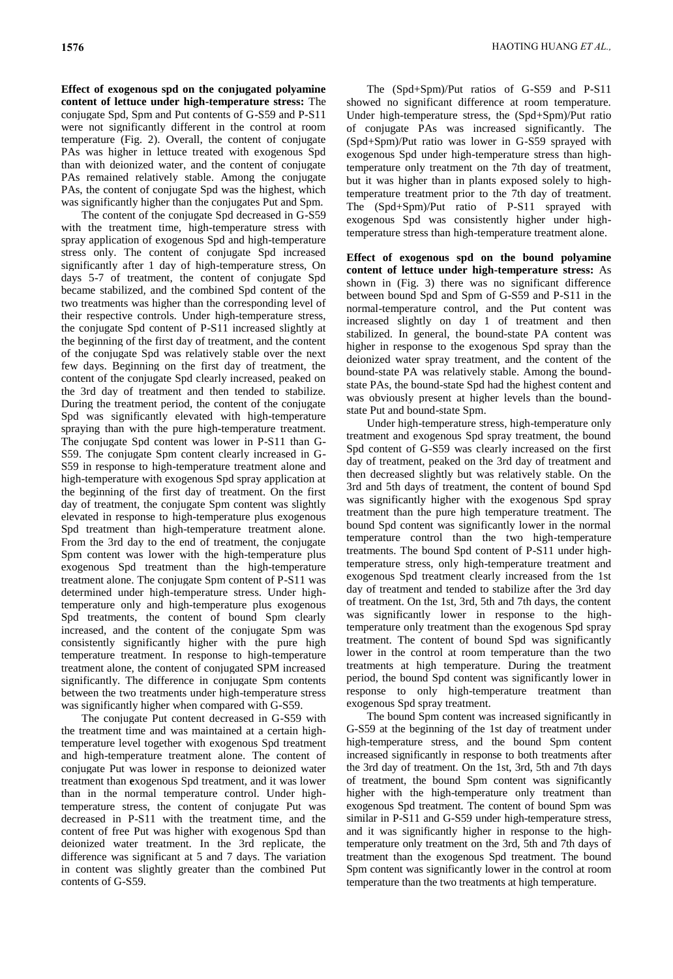**Effect of exogenous spd on the conjugated polyamine content of lettuce under high-temperature stress:** The conjugate Spd, Spm and Put contents of G-S59 and P-S11 were not significantly different in the control at room temperature (Fig. 2). Overall, the content of conjugate PAs was higher in lettuce treated with exogenous Spd than with deionized water, and the content of conjugate PAs remained relatively stable. Among the conjugate PAs, the content of conjugate Spd was the highest, which was significantly higher than the conjugates Put and Spm.

The content of the conjugate Spd decreased in G-S59 with the treatment time, high-temperature stress with spray application of exogenous Spd and high-temperature stress only. The content of conjugate Spd increased significantly after 1 day of high-temperature stress, On days 5-7 of treatment, the content of conjugate Spd became stabilized, and the combined Spd content of the two treatments was higher than the corresponding level of their respective controls. Under high-temperature stress, the conjugate Spd content of P-S11 increased slightly at the beginning of the first day of treatment, and the content of the conjugate Spd was relatively stable over the next few days. Beginning on the first day of treatment, the content of the conjugate Spd clearly increased, peaked on the 3rd day of treatment and then tended to stabilize. During the treatment period, the content of the conjugate Spd was significantly elevated with high-temperature spraying than with the pure high-temperature treatment. The conjugate Spd content was lower in P-S11 than G-S59. The conjugate Spm content clearly increased in G-S59 in response to high-temperature treatment alone and high-temperature with exogenous Spd spray application at the beginning of the first day of treatment. On the first day of treatment, the conjugate Spm content was slightly elevated in response to high-temperature plus exogenous Spd treatment than high-temperature treatment alone. From the 3rd day to the end of treatment, the conjugate Spm content was lower with the high-temperature plus exogenous Spd treatment than the high-temperature treatment alone. The conjugate Spm content of P-S11 was determined under high-temperature stress. Under hightemperature only and high-temperature plus exogenous Spd treatments, the content of bound Spm clearly increased, and the content of the conjugate Spm was consistently significantly higher with the pure high temperature treatment. In response to high-temperature treatment alone, the content of conjugated SPM increased significantly. The difference in conjugate Spm contents between the two treatments under high-temperature stress was significantly higher when compared with G-S59.

The conjugate Put content decreased in G-S59 with the treatment time and was maintained at a certain hightemperature level together with exogenous Spd treatment and high-temperature treatment alone. The content of conjugate Put was lower in response to deionized water treatment than **e**xogenous Spd treatment, and it was lower than in the normal temperature control. Under hightemperature stress, the content of conjugate Put was decreased in P-S11 with the treatment time, and the content of free Put was higher with exogenous Spd than deionized water treatment. In the 3rd replicate, the difference was significant at 5 and 7 days. The variation in content was slightly greater than the combined Put contents of G-S59.

The (Spd+Spm)/Put ratios of G-S59 and P-S11 showed no significant difference at room temperature. Under high-temperature stress, the (Spd+Spm)/Put ratio of conjugate PAs was increased significantly. The (Spd+Spm)/Put ratio was lower in G-S59 sprayed with exogenous Spd under high-temperature stress than hightemperature only treatment on the 7th day of treatment, but it was higher than in plants exposed solely to hightemperature treatment prior to the 7th day of treatment. The (Spd+Spm)/Put ratio of P-S11 sprayed with exogenous Spd was consistently higher under hightemperature stress than high-temperature treatment alone.

**Effect of exogenous spd on the bound polyamine content of lettuce under high-temperature stress:** As shown in (Fig. 3) there was no significant difference between bound Spd and Spm of G-S59 and P-S11 in the normal-temperature control, and the Put content was increased slightly on day 1 of treatment and then stabilized. In general, the bound-state PA content was higher in response to the exogenous Spd spray than the deionized water spray treatment, and the content of the bound-state PA was relatively stable. Among the boundstate PAs, the bound-state Spd had the highest content and was obviously present at higher levels than the boundstate Put and bound-state Spm.

Under high-temperature stress, high-temperature only treatment and exogenous Spd spray treatment, the bound Spd content of G-S59 was clearly increased on the first day of treatment, peaked on the 3rd day of treatment and then decreased slightly but was relatively stable. On the 3rd and 5th days of treatment, the content of bound Spd was significantly higher with the exogenous Spd spray treatment than the pure high temperature treatment. The bound Spd content was significantly lower in the normal temperature control than the two high-temperature treatments. The bound Spd content of P-S11 under hightemperature stress, only high-temperature treatment and exogenous Spd treatment clearly increased from the 1st day of treatment and tended to stabilize after the 3rd day of treatment. On the 1st, 3rd, 5th and 7th days, the content was significantly lower in response to the hightemperature only treatment than the exogenous Spd spray treatment. The content of bound Spd was significantly lower in the control at room temperature than the two treatments at high temperature. During the treatment period, the bound Spd content was significantly lower in response to only high-temperature treatment than exogenous Spd spray treatment.

The bound Spm content was increased significantly in G-S59 at the beginning of the 1st day of treatment under high-temperature stress, and the bound Spm content increased significantly in response to both treatments after the 3rd day of treatment. On the 1st, 3rd, 5th and 7th days of treatment, the bound Spm content was significantly higher with the high-temperature only treatment than exogenous Spd treatment. The content of bound Spm was similar in P-S11 and G-S59 under high-temperature stress, and it was significantly higher in response to the hightemperature only treatment on the 3rd, 5th and 7th days of treatment than the exogenous Spd treatment. The bound Spm content was significantly lower in the control at room temperature than the two treatments at high temperature.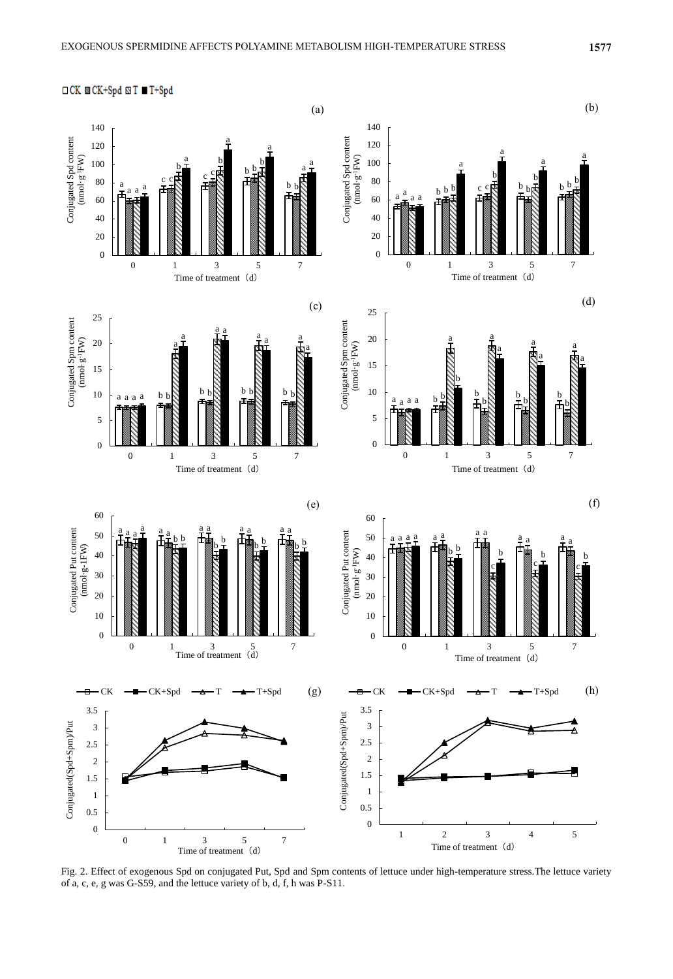

Fig. 2. Effect of exogenous Spd on conjugated Put, Spd and Spm contents of lettuce under high-temperature stress.The lettuce variety of a, c, e, g was G-S59, and the lettuce variety of b, d, f, h was P-S11.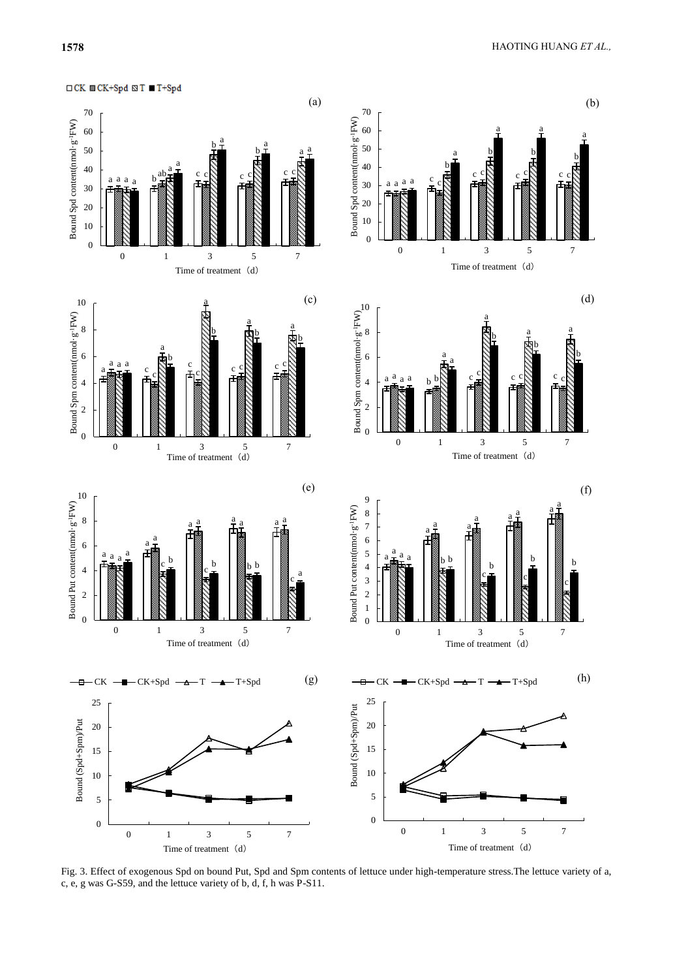

Fig. 3. Effect of exogenous Spd on bound Put, Spd and Spm contents of lettuce under high-temperature stress.The lettuce variety of a, c, e, g was G-S59, and the lettuce variety of b, d, f, h was P-S11.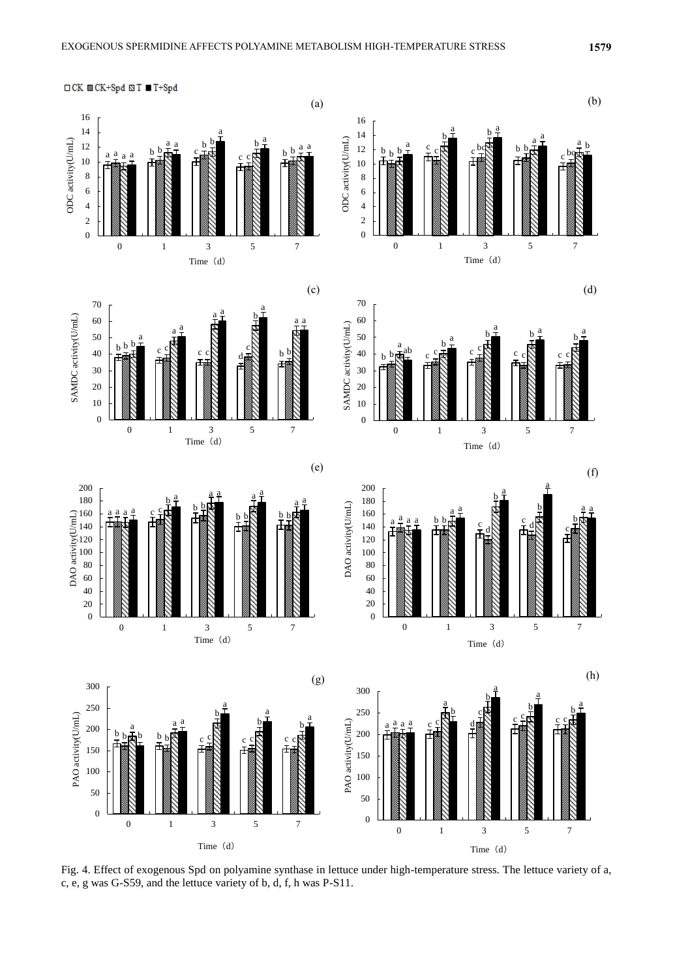

Fig. 4. Effect of exogenous Spd on polyamine synthase in lettuce under high-temperature stress. The lettuce variety of a, c, e, g was G-S59, and the lettuce variety of b, d, f, h was P-S11.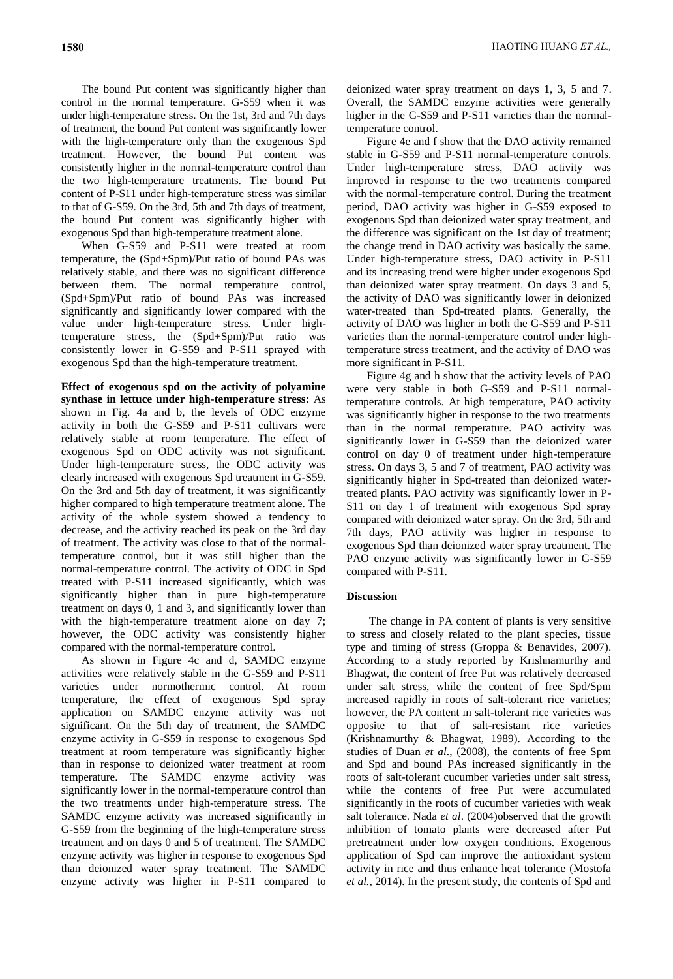The bound Put content was significantly higher than control in the normal temperature. G-S59 when it was under high-temperature stress. On the 1st, 3rd and 7th days of treatment, the bound Put content was significantly lower with the high-temperature only than the exogenous Spd treatment. However, the bound Put content was consistently higher in the normal-temperature control than the two high-temperature treatments. The bound Put content of P-S11 under high-temperature stress was similar to that of G-S59. On the 3rd, 5th and 7th days of treatment, the bound Put content was significantly higher with exogenous Spd than high-temperature treatment alone.

When G-S59 and P-S11 were treated at room temperature, the (Spd+Spm)/Put ratio of bound PAs was relatively stable, and there was no significant difference between them. The normal temperature control, (Spd+Spm)/Put ratio of bound PAs was increased significantly and significantly lower compared with the value under high-temperature stress. Under hightemperature stress, the (Spd+Spm)/Put ratio was consistently lower in G-S59 and P-S11 sprayed with exogenous Spd than the high-temperature treatment.

**Effect of exogenous spd on the activity of polyamine synthase in lettuce under high-temperature stress:** As shown in Fig. 4a and b, the levels of ODC enzyme activity in both the G-S59 and P-S11 cultivars were relatively stable at room temperature. The effect of exogenous Spd on ODC activity was not significant. Under high-temperature stress, the ODC activity was clearly increased with exogenous Spd treatment in G-S59. On the 3rd and 5th day of treatment, it was significantly higher compared to high temperature treatment alone. The activity of the whole system showed a tendency to decrease, and the activity reached its peak on the 3rd day of treatment. The activity was close to that of the normaltemperature control, but it was still higher than the normal-temperature control. The activity of ODC in Spd treated with P-S11 increased significantly, which was significantly higher than in pure high-temperature treatment on days 0, 1 and 3, and significantly lower than with the high-temperature treatment alone on day 7; however, the ODC activity was consistently higher compared with the normal-temperature control.

As shown in Figure 4c and d, SAMDC enzyme activities were relatively stable in the G-S59 and P-S11 varieties under normothermic control. At room temperature, the effect of exogenous Spd spray application on SAMDC enzyme activity was not significant. On the 5th day of treatment, the SAMDC enzyme activity in G-S59 in response to exogenous Spd treatment at room temperature was significantly higher than in response to deionized water treatment at room temperature. The SAMDC enzyme activity was significantly lower in the normal-temperature control than the two treatments under high-temperature stress. The SAMDC enzyme activity was increased significantly in G-S59 from the beginning of the high-temperature stress treatment and on days 0 and 5 of treatment. The SAMDC enzyme activity was higher in response to exogenous Spd than deionized water spray treatment. The SAMDC enzyme activity was higher in P-S11 compared to

deionized water spray treatment on days 1, 3, 5 and 7. Overall, the SAMDC enzyme activities were generally higher in the G-S59 and P-S11 varieties than the normaltemperature control.

Figure 4e and f show that the DAO activity remained stable in G-S59 and P-S11 normal-temperature controls. Under high-temperature stress, DAO activity was improved in response to the two treatments compared with the normal-temperature control. During the treatment period, DAO activity was higher in G-S59 exposed to exogenous Spd than deionized water spray treatment, and the difference was significant on the 1st day of treatment; the change trend in DAO activity was basically the same. Under high-temperature stress, DAO activity in P-S11 and its increasing trend were higher under exogenous Spd than deionized water spray treatment. On days 3 and 5, the activity of DAO was significantly lower in deionized water-treated than Spd-treated plants. Generally, the activity of DAO was higher in both the G-S59 and P-S11 varieties than the normal-temperature control under hightemperature stress treatment, and the activity of DAO was more significant in P-S11.

Figure 4g and h show that the activity levels of PAO were very stable in both G-S59 and P-S11 normaltemperature controls. At high temperature, PAO activity was significantly higher in response to the two treatments than in the normal temperature. PAO activity was significantly lower in G-S59 than the deionized water control on day 0 of treatment under high-temperature stress. On days 3, 5 and 7 of treatment, PAO activity was significantly higher in Spd-treated than deionized watertreated plants. PAO activity was significantly lower in P-S11 on day 1 of treatment with exogenous Spd spray compared with deionized water spray. On the 3rd, 5th and 7th days, PAO activity was higher in response to exogenous Spd than deionized water spray treatment. The PAO enzyme activity was significantly lower in G-S59 compared with P-S11.

## **Discussion**

The change in PA content of plants is very sensitive to stress and closely related to the plant species, tissue type and timing of stress (Groppa & Benavides, 2007). According to a study reported by Krishnamurthy and Bhagwat, the content of free Put was relatively decreased under salt stress, while the content of free Spd/Spm increased rapidly in roots of salt-tolerant rice varieties; however, the PA content in salt-tolerant rice varieties was opposite to that of salt-resistant rice varieties (Krishnamurthy & Bhagwat, 1989). According to the studies of Duan *et al*., (2008), the contents of free Spm and Spd and bound PAs increased significantly in the roots of salt-tolerant cucumber varieties under salt stress, while the contents of free Put were accumulated significantly in the roots of cucumber varieties with weak salt tolerance. Nada *et al*. (2004)observed that the growth inhibition of tomato plants were decreased after Put pretreatment under low oxygen conditions. Exogenous application of Spd can improve the antioxidant system activity in rice and thus enhance heat tolerance (Mostofa *et al.*, 2014). In the present study, the contents of Spd and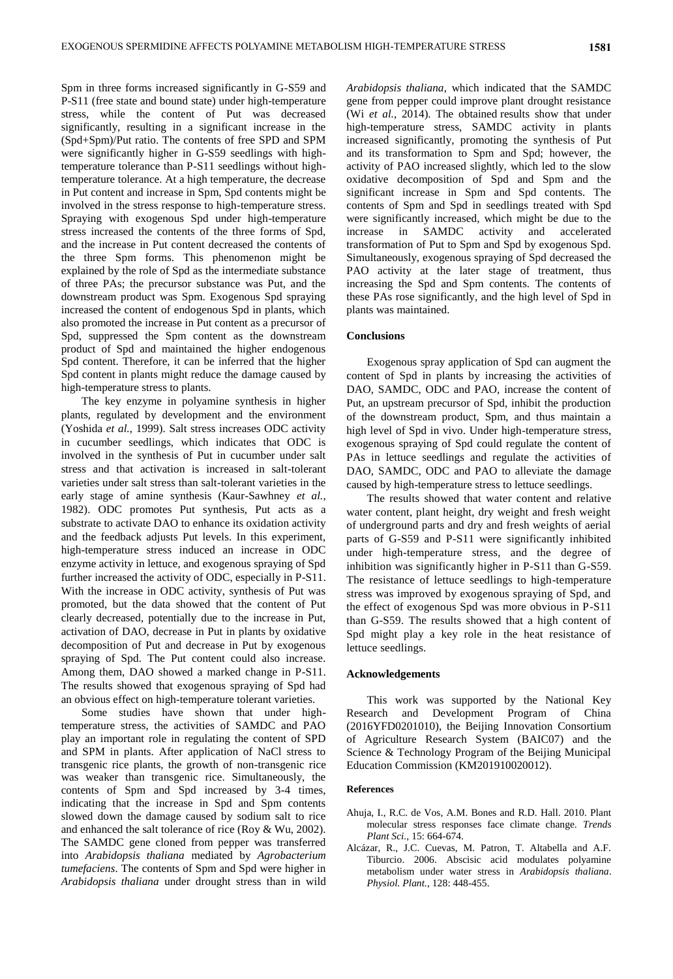Spm in three forms increased significantly in G-S59 and P-S11 (free state and bound state) under high-temperature stress, while the content of Put was decreased significantly, resulting in a significant increase in the (Spd+Spm)/Put ratio. The contents of free SPD and SPM were significantly higher in G-S59 seedlings with hightemperature tolerance than P-S11 seedlings without hightemperature tolerance. At a high temperature, the decrease in Put content and increase in Spm, Spd contents might be involved in the stress response to high-temperature stress. Spraying with exogenous Spd under high-temperature stress increased the contents of the three forms of Spd, and the increase in Put content decreased the contents of the three Spm forms. This phenomenon might be explained by the role of Spd as the intermediate substance of three PAs; the precursor substance was Put, and the downstream product was Spm. Exogenous Spd spraying increased the content of endogenous Spd in plants, which also promoted the increase in Put content as a precursor of Spd, suppressed the Spm content as the downstream product of Spd and maintained the higher endogenous Spd content. Therefore, it can be inferred that the higher Spd content in plants might reduce the damage caused by high-temperature stress to plants.

The key enzyme in polyamine synthesis in higher plants, regulated by development and the environment (Yoshida *et al.*, 1999). Salt stress increases ODC activity in cucumber seedlings, which indicates that ODC is involved in the synthesis of Put in cucumber under salt stress and that activation is increased in salt-tolerant varieties under salt stress than salt-tolerant varieties in the early stage of amine synthesis (Kaur-Sawhney *et al.*, 1982). ODC promotes Put synthesis, Put acts as a substrate to activate DAO to enhance its oxidation activity and the feedback adjusts Put levels. In this experiment, high-temperature stress induced an increase in ODC enzyme activity in lettuce, and exogenous spraying of Spd further increased the activity of ODC, especially in P-S11. With the increase in ODC activity, synthesis of Put was promoted, but the data showed that the content of Put clearly decreased, potentially due to the increase in Put, activation of DAO, decrease in Put in plants by oxidative decomposition of Put and decrease in Put by exogenous spraying of Spd. The Put content could also increase. Among them, DAO showed a marked change in P-S11. The results showed that exogenous spraying of Spd had an obvious effect on high-temperature tolerant varieties.

Some studies have shown that under hightemperature stress, the activities of SAMDC and PAO play an important role in regulating the content of SPD and SPM in plants. After application of NaCl stress to transgenic rice plants, the growth of non-transgenic rice was weaker than transgenic rice. Simultaneously, the contents of Spm and Spd increased by 3-4 times, indicating that the increase in Spd and Spm contents slowed down the damage caused by sodium salt to rice and enhanced the salt tolerance of rice (Roy & Wu, 2002). The SAMDC gene cloned from pepper was transferred into *Arabidopsis thaliana* mediated by *Agrobacterium tumefaciens*. The contents of Spm and Spd were higher in *Arabidopsis thaliana* under drought stress than in wild *Arabidopsis thaliana*, which indicated that the SAMDC gene from pepper could improve plant drought resistance (Wi *et al.*, 2014). The obtained results show that under high-temperature stress, SAMDC activity in plants increased significantly, promoting the synthesis of Put and its transformation to Spm and Spd; however, the activity of PAO increased slightly, which led to the slow oxidative decomposition of Spd and Spm and the significant increase in Spm and Spd contents. The contents of Spm and Spd in seedlings treated with Spd were significantly increased, which might be due to the increase in SAMDC activity and accelerated transformation of Put to Spm and Spd by exogenous Spd. Simultaneously, exogenous spraying of Spd decreased the PAO activity at the later stage of treatment, thus increasing the Spd and Spm contents. The contents of these PAs rose significantly, and the high level of Spd in plants was maintained.

# **Conclusions**

Exogenous spray application of Spd can augment the content of Spd in plants by increasing the activities of DAO, SAMDC, ODC and PAO, increase the content of Put, an upstream precursor of Spd, inhibit the production of the downstream product, Spm, and thus maintain a high level of Spd in vivo. Under high-temperature stress, exogenous spraying of Spd could regulate the content of PAs in lettuce seedlings and regulate the activities of DAO, SAMDC, ODC and PAO to alleviate the damage caused by high-temperature stress to lettuce seedlings.

The results showed that water content and relative water content, plant height, dry weight and fresh weight of underground parts and dry and fresh weights of aerial parts of G-S59 and P-S11 were significantly inhibited under high-temperature stress, and the degree of inhibition was significantly higher in P-S11 than G-S59. The resistance of lettuce seedlings to high-temperature stress was improved by exogenous spraying of Spd, and the effect of exogenous Spd was more obvious in P-S11 than G-S59. The results showed that a high content of Spd might play a key role in the heat resistance of lettuce seedlings.

#### **Acknowledgements**

This work was supported by the National Key Research and Development Program of China (2016YFD0201010), the Beijing Innovation Consortium of Agriculture Research System (BAIC07) and the Science & Technology Program of the Beijing Municipal Education Commission (KM201910020012).

### **References**

- Ahuja, I., R.C. de Vos, A.M. Bones and R.D. Hall. 2010. Plant molecular stress responses face climate change. *Trends Plant Sci.*, 15: 664-674.
- Alcázar, R., J.C. Cuevas, M. Patron, T. Altabella and A.F. Tiburcio. 2006. Abscisic acid modulates polyamine metabolism under water stress in *Arabidopsis thaliana*. *Physiol. Plant.*, 128: 448-455.